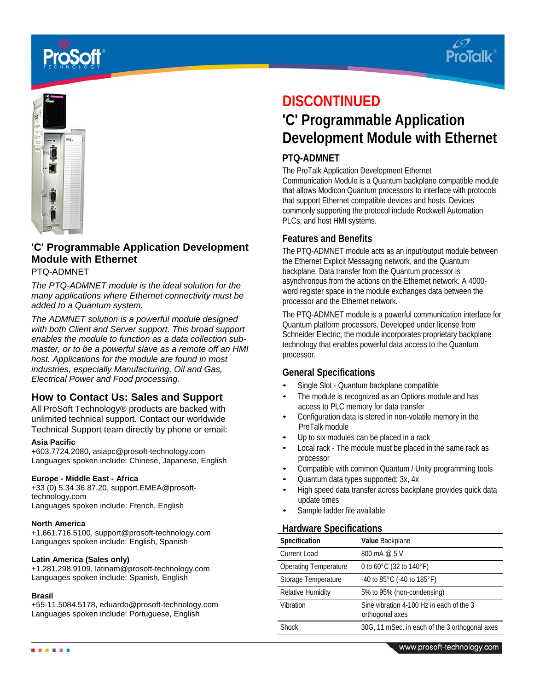



# **'C' Programmable Application Development Module with Ethernet**

### PTQ-ADMNET

*The PTQ-ADMNET module is the ideal solution for the many applications where Ethernet connectivity must be added to a Quantum system.*

*The ADMNET solution is a powerful module designed with both Client and Server support. This broad support enables the module to function as a data collection submaster, or to be a powerful slave as a remote off an HMI host. Applications for the module are found in most industries, especially Manufacturing, Oil and Gas, Electrical Power and Food processing.*

# **How to Contact Us: Sales and Support**

All ProSoft Technology® products are backed with unlimited technical support. Contact our worldwide Technical Support team directly by phone or email:

### **Asia Pacific**

+603.7724.2080, asiapc@prosoft-technology.com Languages spoken include: Chinese, Japanese, English

### **Europe - Middle East - Africa**

+33 (0) 5.34.36.87.20, support.EMEA@prosofttechnology.com Languages spoken include: French, English

### **North America**

+1.661.716.5100, support@prosoft-technology.com Languages spoken include: English, Spanish

### **Latin America (Sales only)**

+1.281.298.9109, latinam@prosoft-technology.com Languages spoken include: Spanish, English

### **Brasil**

+55-11.5084.5178, eduardo@prosoft-technology.com Languages spoken include: Portuguese, English

# **DISCONTINUED**

# **'C' Programmable Application Development Module with Ethernet**

# **PTQ-ADMNET**

The ProTalk Application Development Ethernet

Communication Module is a Quantum backplane compatible module that allows Modicon Quantum processors to interface with protocols that support Ethernet compatible devices and hosts. Devices commonly supporting the protocol include Rockwell Automation PLCs, and host HMI systems.

### **Features and Benefits**

The PTQ-ADMNET module acts as an input/output module between the Ethernet Explicit Messaging network, and the Quantum backplane. Data transfer from the Quantum processor is asynchronous from the actions on the Ethernet network. A 4000 word register space in the module exchanges data between the processor and the Ethernet network.

The PTQ-ADMNET module is a powerful communication interface for Quantum platform processors. Developed under license from Schneider Electric, the module incorporates proprietary backplane technology that enables powerful data access to the Quantum processor.

### **General Specifications**

- Single Slot Quantum backplane compatible
- The module is recognized as an Options module and has access to PLC memory for data transfer
- Configuration data is stored in non-volatile memory in the ProTalk module
- Up to six modules can be placed in a rack
- Local rack The module must be placed in the same rack as processor
- Compatible with common Quantum / Unity programming tools
- Quantum data types supported: 3x, 4x
- High speed data transfer across backplane provides quick data update times
- Sample ladder file available

### **Hardware Specifications**

| Specification                | Value Backplane                                             |
|------------------------------|-------------------------------------------------------------|
| <b>Current Load</b>          | 800 mA $@5V$                                                |
| <b>Operating Temperature</b> | 0 to 60°C (32 to 140°F)                                     |
| Storage Temperature          | -40 to 85°C (-40 to 185°F)                                  |
| Relative Humidity            | 5% to 95% (non-condensing)                                  |
| Vibration                    | Sine vibration 4-100 Hz in each of the 3<br>orthogonal axes |
| Shock                        | 30G, 11 mSec. in each of the 3 orthogonal axes              |

. . . . .